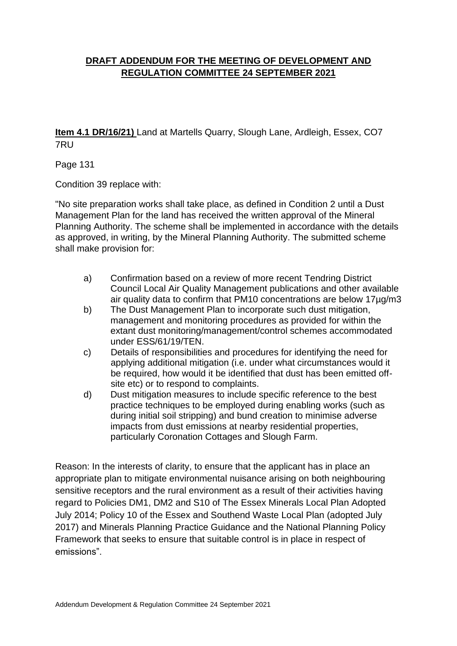# **DRAFT ADDENDUM FOR THE MEETING OF DEVELOPMENT AND REGULATION COMMITTEE 24 SEPTEMBER 2021**

**Item 4.1 DR/16/21)** Land at Martells Quarry, Slough Lane, Ardleigh, Essex, CO7 7RU

Page 131

Condition 39 replace with:

"No site preparation works shall take place, as defined in Condition 2 until a Dust Management Plan for the land has received the written approval of the Mineral Planning Authority. The scheme shall be implemented in accordance with the details as approved, in writing, by the Mineral Planning Authority. The submitted scheme shall make provision for:

- a) Confirmation based on a review of more recent Tendring District Council Local Air Quality Management publications and other available air quality data to confirm that PM10 concentrations are below 17µg/m3
- b) The Dust Management Plan to incorporate such dust mitigation, management and monitoring procedures as provided for within the extant dust monitoring/management/control schemes accommodated under ESS/61/19/TEN.
- c) Details of responsibilities and procedures for identifying the need for applying additional mitigation (i.e. under what circumstances would it be required, how would it be identified that dust has been emitted offsite etc) or to respond to complaints.
- d) Dust mitigation measures to include specific reference to the best practice techniques to be employed during enabling works (such as during initial soil stripping) and bund creation to minimise adverse impacts from dust emissions at nearby residential properties, particularly Coronation Cottages and Slough Farm.

Reason: In the interests of clarity, to ensure that the applicant has in place an appropriate plan to mitigate environmental nuisance arising on both neighbouring sensitive receptors and the rural environment as a result of their activities having regard to Policies DM1, DM2 and S10 of The Essex Minerals Local Plan Adopted July 2014; Policy 10 of the Essex and Southend Waste Local Plan (adopted July 2017) and Minerals Planning Practice Guidance and the National Planning Policy Framework that seeks to ensure that suitable control is in place in respect of emissions".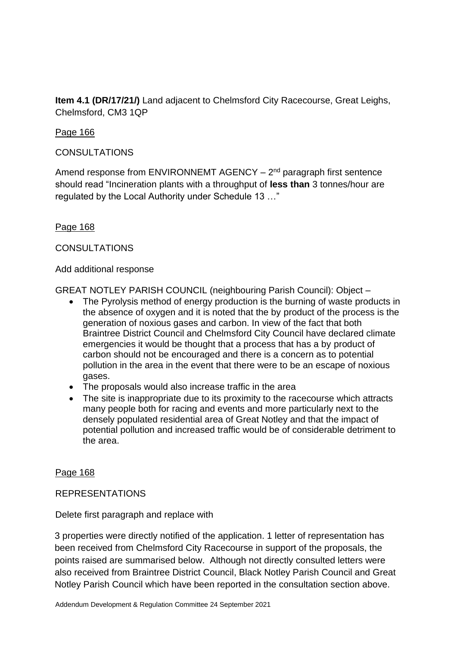**Item 4.1 (DR/17/21/)** Land adjacent to Chelmsford City Racecourse, Great Leighs, Chelmsford, CM3 1QP

# Page 166

# **CONSULTATIONS**

Amend response from ENVIRONNEMT AGENCY  $-2<sup>nd</sup>$  paragraph first sentence should read "Incineration plants with a throughput of **less than** 3 tonnes/hour are regulated by the Local Authority under Schedule 13 …"

# Page 168

# **CONSULTATIONS**

### Add additional response

GREAT NOTLEY PARISH COUNCIL (neighbouring Parish Council): Object –

- The Pyrolysis method of energy production is the burning of waste products in the absence of oxygen and it is noted that the by product of the process is the generation of noxious gases and carbon. In view of the fact that both Braintree District Council and Chelmsford City Council have declared climate emergencies it would be thought that a process that has a by product of carbon should not be encouraged and there is a concern as to potential pollution in the area in the event that there were to be an escape of noxious gases.
- The proposals would also increase traffic in the area
- The site is inappropriate due to its proximity to the racecourse which attracts many people both for racing and events and more particularly next to the densely populated residential area of Great Notley and that the impact of potential pollution and increased traffic would be of considerable detriment to the area.

### Page 168

# REPRESENTATIONS

Delete first paragraph and replace with

3 properties were directly notified of the application. 1 letter of representation has been received from Chelmsford City Racecourse in support of the proposals, the points raised are summarised below. Although not directly consulted letters were also received from Braintree District Council, Black Notley Parish Council and Great Notley Parish Council which have been reported in the consultation section above.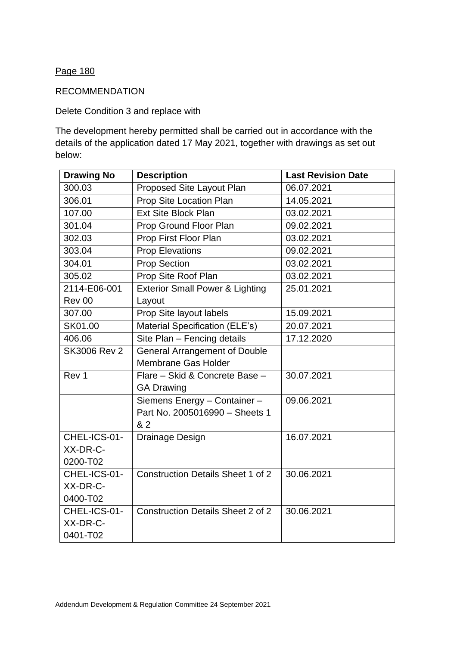# Page 180

## RECOMMENDATION

# Delete Condition 3 and replace with

The development hereby permitted shall be carried out in accordance with the details of the application dated 17 May 2021, together with drawings as set out below:

| <b>Drawing No</b>   | <b>Description</b>                         | <b>Last Revision Date</b> |
|---------------------|--------------------------------------------|---------------------------|
| 300.03              | Proposed Site Layout Plan                  | 06.07.2021                |
| 306.01              | Prop Site Location Plan                    | 14.05.2021                |
| 107.00              | <b>Ext Site Block Plan</b>                 | 03.02.2021                |
| 301.04              | Prop Ground Floor Plan                     | 09.02.2021                |
| 302.03              | Prop First Floor Plan                      | 03.02.2021                |
| 303.04              | <b>Prop Elevations</b>                     | 09.02.2021                |
| 304.01              | <b>Prop Section</b>                        | 03.02.2021                |
| 305.02              | Prop Site Roof Plan                        | 03.02.2021                |
| 2114-E06-001        | <b>Exterior Small Power &amp; Lighting</b> | 25.01.2021                |
| Rev 00              | Layout                                     |                           |
| 307.00              | Prop Site layout labels                    | 15.09.2021                |
| SK01.00             | Material Specification (ELE's)             | 20.07.2021                |
| 406.06              | Site Plan - Fencing details                | 17.12.2020                |
| <b>SK3006 Rev 2</b> | <b>General Arrangement of Double</b>       |                           |
|                     | <b>Membrane Gas Holder</b>                 |                           |
| Rev 1               | Flare - Skid & Concrete Base -             | 30.07.2021                |
|                     | <b>GA Drawing</b>                          |                           |
|                     | Siemens Energy - Container -               | 09.06.2021                |
|                     | Part No. 2005016990 - Sheets 1             |                           |
|                     | & 2                                        |                           |
| CHEL-ICS-01-        | Drainage Design                            | 16.07.2021                |
| XX-DR-C-            |                                            |                           |
| 0200-T02            |                                            |                           |
| CHEL-ICS-01-        | <b>Construction Details Sheet 1 of 2</b>   | 30.06.2021                |
| XX-DR-C-            |                                            |                           |
| 0400-T02            |                                            |                           |
| CHEL-ICS-01-        | <b>Construction Details Sheet 2 of 2</b>   | 30.06.2021                |
| XX-DR-C-            |                                            |                           |
| 0401-T02            |                                            |                           |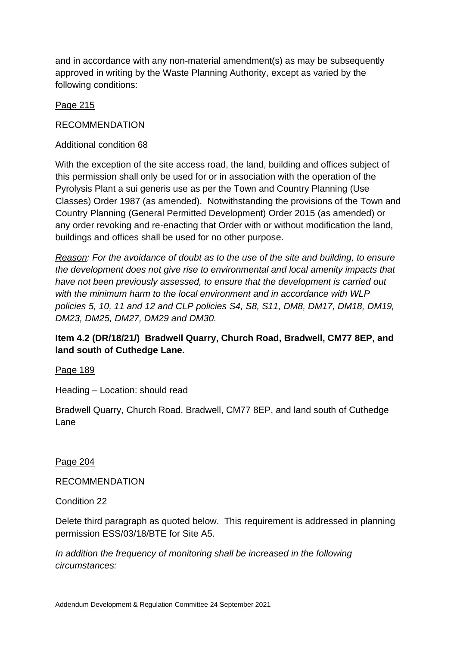and in accordance with any non-material amendment(s) as may be subsequently approved in writing by the Waste Planning Authority, except as varied by the following conditions:

# Page 215

## RECOMMENDATION

Additional condition 68

With the exception of the site access road, the land, building and offices subject of this permission shall only be used for or in association with the operation of the Pyrolysis Plant a sui generis use as per the Town and Country Planning (Use Classes) Order 1987 (as amended). Notwithstanding the provisions of the Town and Country Planning (General Permitted Development) Order 2015 (as amended) or any order revoking and re-enacting that Order with or without modification the land, buildings and offices shall be used for no other purpose.

*Reason: For the avoidance of doubt as to the use of the site and building, to ensure the development does not give rise to environmental and local amenity impacts that have not been previously assessed, to ensure that the development is carried out with the minimum harm to the local environment and in accordance with WLP policies 5, 10, 11 and 12 and CLP policies S4, S8, S11, DM8, DM17, DM18, DM19, DM23, DM25, DM27, DM29 and DM30.*

**Item 4.2 (DR/18/21/) Bradwell Quarry, Church Road, Bradwell, CM77 8EP, and land south of Cuthedge Lane.**

Page 189

Heading – Location: should read

Bradwell Quarry, Church Road, Bradwell, CM77 8EP, and land south of Cuthedge Lane

Page 204

RECOMMENDATION

Condition 22

Delete third paragraph as quoted below. This requirement is addressed in planning permission ESS/03/18/BTE for Site A5.

*In addition the frequency of monitoring shall be increased in the following circumstances:*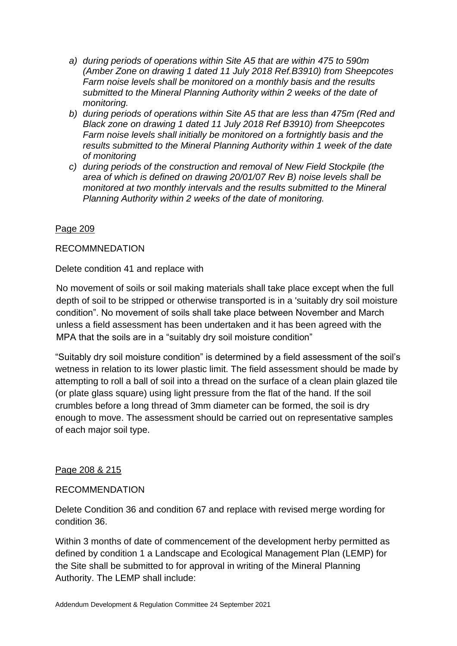- *a) during periods of operations within Site A5 that are within 475 to 590m (Amber Zone on drawing 1 dated 11 July 2018 Ref.B3910) from Sheepcotes Farm noise levels shall be monitored on a monthly basis and the results submitted to the Mineral Planning Authority within 2 weeks of the date of monitoring.*
- *b) during periods of operations within Site A5 that are less than 475m (Red and Black zone on drawing 1 dated 11 July 2018 Ref B3910) from Sheepcotes Farm noise levels shall initially be monitored on a fortnightly basis and the results submitted to the Mineral Planning Authority within 1 week of the date of monitoring*
- *c) during periods of the construction and removal of New Field Stockpile (the area of which is defined on drawing 20/01/07 Rev B) noise levels shall be monitored at two monthly intervals and the results submitted to the Mineral Planning Authority within 2 weeks of the date of monitoring.*

# Page 209

# RECOMMNEDATION

Delete condition 41 and replace with

No movement of soils or soil making materials shall take place except when the full depth of soil to be stripped or otherwise transported is in a 'suitably dry soil moisture condition". No movement of soils shall take place between November and March unless a field assessment has been undertaken and it has been agreed with the MPA that the soils are in a "suitably dry soil moisture condition"

"Suitably dry soil moisture condition" is determined by a field assessment of the soil's wetness in relation to its lower plastic limit. The field assessment should be made by attempting to roll a ball of soil into a thread on the surface of a clean plain glazed tile (or plate glass square) using light pressure from the flat of the hand. If the soil crumbles before a long thread of 3mm diameter can be formed, the soil is dry enough to move. The assessment should be carried out on representative samples of each major soil type.

### Page 208 & 215

### RECOMMENDATION

Delete Condition 36 and condition 67 and replace with revised merge wording for condition 36.

Within 3 months of date of commencement of the development herby permitted as defined by condition 1 a Landscape and Ecological Management Plan (LEMP) for the Site shall be submitted to for approval in writing of the Mineral Planning Authority. The LEMP shall include: